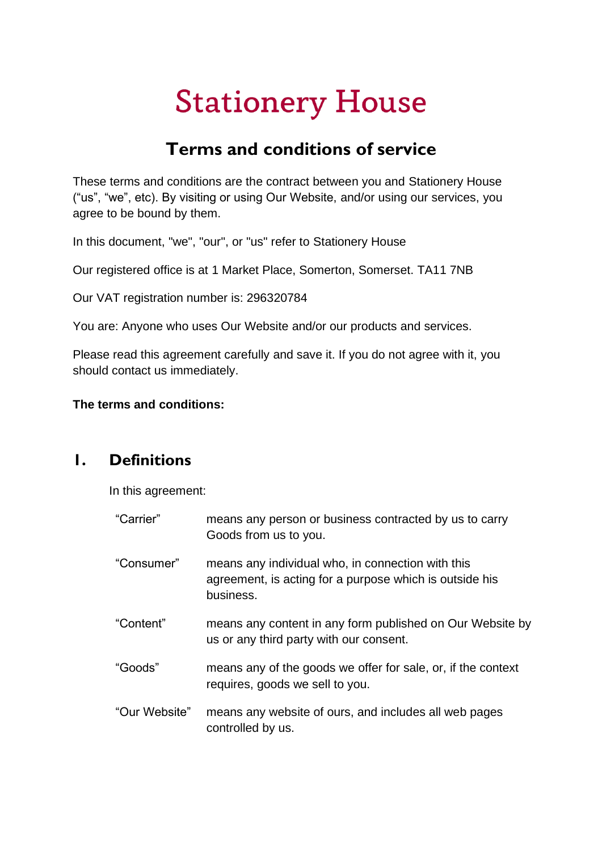# **Stationery House**

# **Terms and conditions of service**

These terms and conditions are the contract between you and Stationery House ("us", "we", etc). By visiting or using Our Website, and/or using our services, you agree to be bound by them.

In this document, "we", "our", or "us" refer to Stationery House

Our registered office is at 1 Market Place, Somerton, Somerset. TA11 7NB

Our VAT registration number is: 296320784

You are: Anyone who uses Our Website and/or our products and services.

Please read this agreement carefully and save it. If you do not agree with it, you should contact us immediately.

#### **The terms and conditions:**

#### **1. Definitions**

In this agreement:

| "Carrier"     | means any person or business contracted by us to carry<br>Goods from us to you.                                           |
|---------------|---------------------------------------------------------------------------------------------------------------------------|
| "Consumer"    | means any individual who, in connection with this<br>agreement, is acting for a purpose which is outside his<br>business. |
| "Content"     | means any content in any form published on Our Website by<br>us or any third party with our consent.                      |
| "Goods"       | means any of the goods we offer for sale, or, if the context<br>requires, goods we sell to you.                           |
| "Our Website" | means any website of ours, and includes all web pages<br>controlled by us.                                                |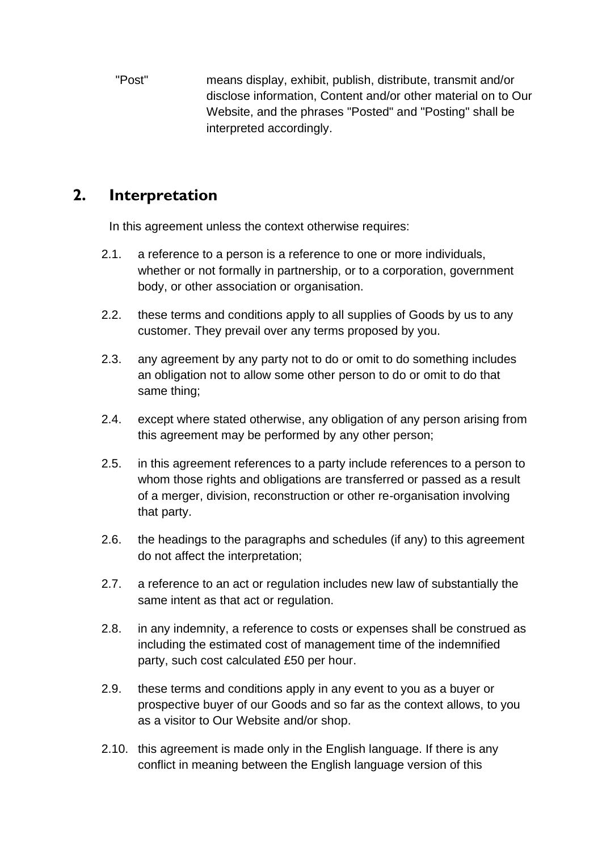"Post" means display, exhibit, publish, distribute, transmit and/or disclose information, Content and/or other material on to Our Website, and the phrases "Posted" and "Posting" shall be interpreted accordingly.

#### **2. Interpretation**

In this agreement unless the context otherwise requires:

- 2.1. a reference to a person is a reference to one or more individuals, whether or not formally in partnership, or to a corporation, government body, or other association or organisation.
- 2.2. these terms and conditions apply to all supplies of Goods by us to any customer. They prevail over any terms proposed by you.
- 2.3. any agreement by any party not to do or omit to do something includes an obligation not to allow some other person to do or omit to do that same thing;
- 2.4. except where stated otherwise, any obligation of any person arising from this agreement may be performed by any other person;
- 2.5. in this agreement references to a party include references to a person to whom those rights and obligations are transferred or passed as a result of a merger, division, reconstruction or other re-organisation involving that party.
- 2.6. the headings to the paragraphs and schedules (if any) to this agreement do not affect the interpretation;
- 2.7. a reference to an act or regulation includes new law of substantially the same intent as that act or regulation.
- 2.8. in any indemnity, a reference to costs or expenses shall be construed as including the estimated cost of management time of the indemnified party, such cost calculated £50 per hour.
- 2.9. these terms and conditions apply in any event to you as a buyer or prospective buyer of our Goods and so far as the context allows, to you as a visitor to Our Website and/or shop.
- 2.10. this agreement is made only in the English language. If there is any conflict in meaning between the English language version of this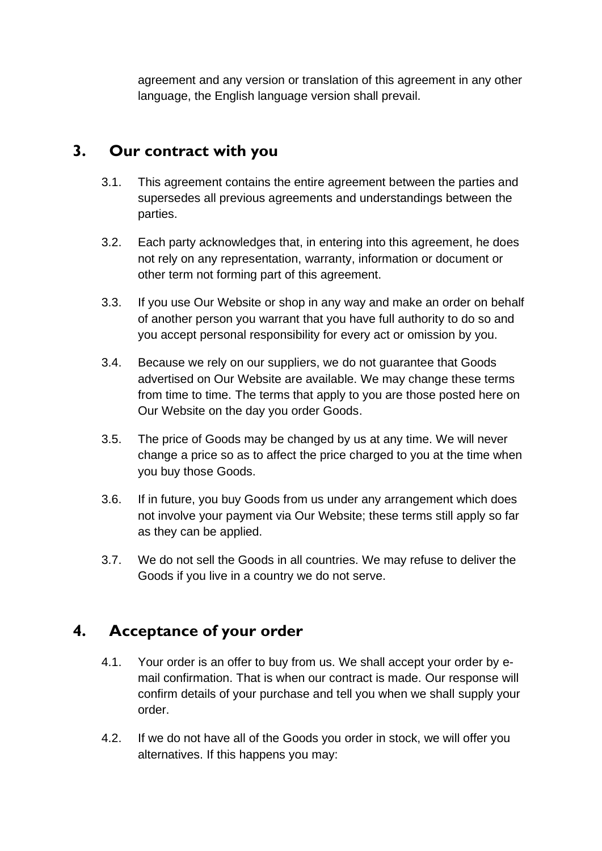agreement and any version or translation of this agreement in any other language, the English language version shall prevail.

## **3. Our contract with you**

- 3.1. This agreement contains the entire agreement between the parties and supersedes all previous agreements and understandings between the parties.
- 3.2. Each party acknowledges that, in entering into this agreement, he does not rely on any representation, warranty, information or document or other term not forming part of this agreement.
- 3.3. If you use Our Website or shop in any way and make an order on behalf of another person you warrant that you have full authority to do so and you accept personal responsibility for every act or omission by you.
- 3.4. Because we rely on our suppliers, we do not guarantee that Goods advertised on Our Website are available. We may change these terms from time to time. The terms that apply to you are those posted here on Our Website on the day you order Goods.
- 3.5. The price of Goods may be changed by us at any time. We will never change a price so as to affect the price charged to you at the time when you buy those Goods.
- 3.6. If in future, you buy Goods from us under any arrangement which does not involve your payment via Our Website; these terms still apply so far as they can be applied.
- 3.7. We do not sell the Goods in all countries. We may refuse to deliver the Goods if you live in a country we do not serve.

## **4. Acceptance of your order**

- 4.1. Your order is an offer to buy from us. We shall accept your order by email confirmation. That is when our contract is made. Our response will confirm details of your purchase and tell you when we shall supply your order.
- 4.2. If we do not have all of the Goods you order in stock, we will offer you alternatives. If this happens you may: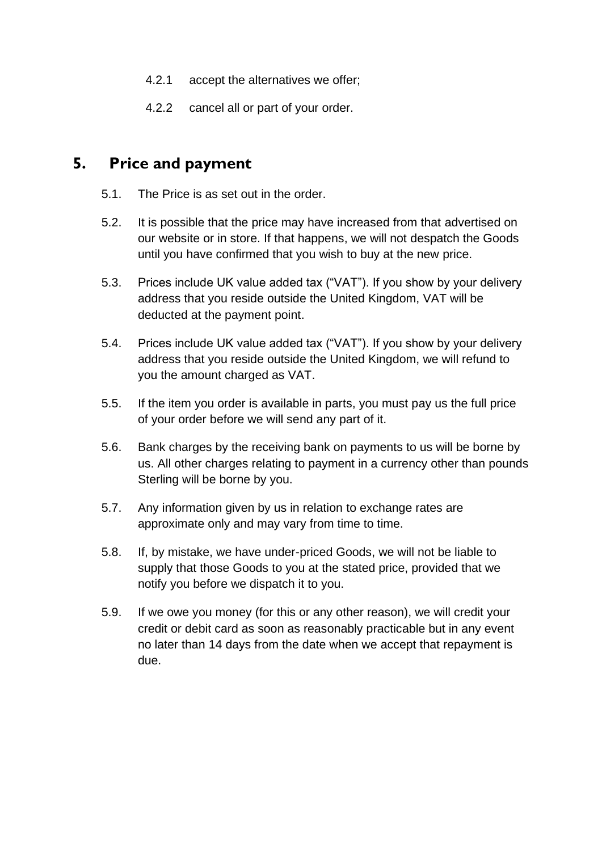- 4.2.1 accept the alternatives we offer;
- 4.2.2 cancel all or part of your order.

#### **5. Price and payment**

- 5.1. The Price is as set out in the order.
- 5.2. It is possible that the price may have increased from that advertised on our website or in store. If that happens, we will not despatch the Goods until you have confirmed that you wish to buy at the new price.
- 5.3. Prices include UK value added tax ("VAT"). If you show by your delivery address that you reside outside the United Kingdom, VAT will be deducted at the payment point.
- 5.4. Prices include UK value added tax ("VAT"). If you show by your delivery address that you reside outside the United Kingdom, we will refund to you the amount charged as VAT.
- 5.5. If the item you order is available in parts, you must pay us the full price of your order before we will send any part of it.
- 5.6. Bank charges by the receiving bank on payments to us will be borne by us. All other charges relating to payment in a currency other than pounds Sterling will be borne by you.
- 5.7. Any information given by us in relation to exchange rates are approximate only and may vary from time to time.
- 5.8. If, by mistake, we have under-priced Goods, we will not be liable to supply that those Goods to you at the stated price, provided that we notify you before we dispatch it to you.
- 5.9. If we owe you money (for this or any other reason), we will credit your credit or debit card as soon as reasonably practicable but in any event no later than 14 days from the date when we accept that repayment is due.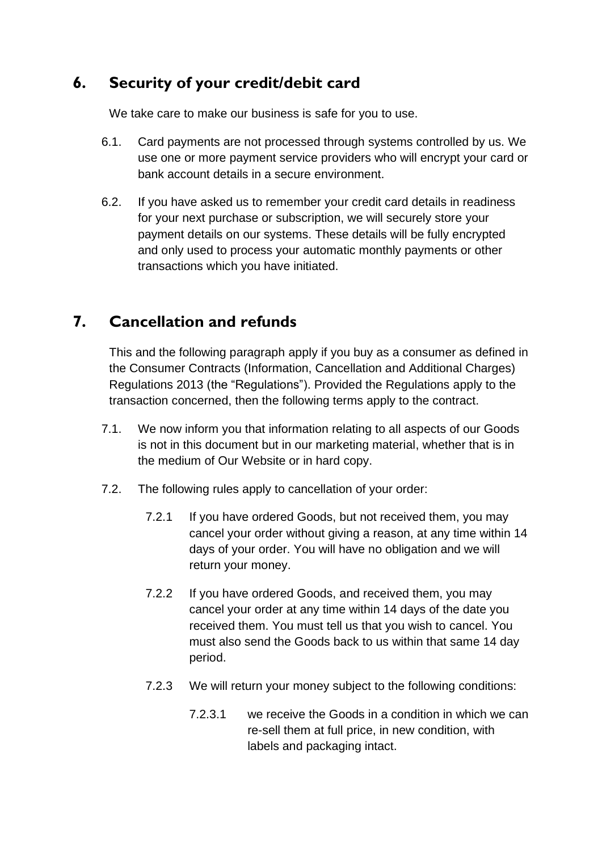## **6. Security of your credit/debit card**

We take care to make our business is safe for you to use.

- 6.1. Card payments are not processed through systems controlled by us. We use one or more payment service providers who will encrypt your card or bank account details in a secure environment.
- 6.2. If you have asked us to remember your credit card details in readiness for your next purchase or subscription, we will securely store your payment details on our systems. These details will be fully encrypted and only used to process your automatic monthly payments or other transactions which you have initiated.

## **7. Cancellation and refunds**

This and the following paragraph apply if you buy as a consumer as defined in the Consumer Contracts (Information, Cancellation and Additional Charges) Regulations 2013 (the "Regulations"). Provided the Regulations apply to the transaction concerned, then the following terms apply to the contract.

- 7.1. We now inform you that information relating to all aspects of our Goods is not in this document but in our marketing material, whether that is in the medium of Our Website or in hard copy.
- 7.2. The following rules apply to cancellation of your order:
	- 7.2.1 If you have ordered Goods, but not received them, you may cancel your order without giving a reason, at any time within 14 days of your order. You will have no obligation and we will return your money.
	- 7.2.2 If you have ordered Goods, and received them, you may cancel your order at any time within 14 days of the date you received them. You must tell us that you wish to cancel. You must also send the Goods back to us within that same 14 day period.
	- 7.2.3 We will return your money subject to the following conditions:
		- 7.2.3.1 we receive the Goods in a condition in which we can re-sell them at full price, in new condition, with labels and packaging intact.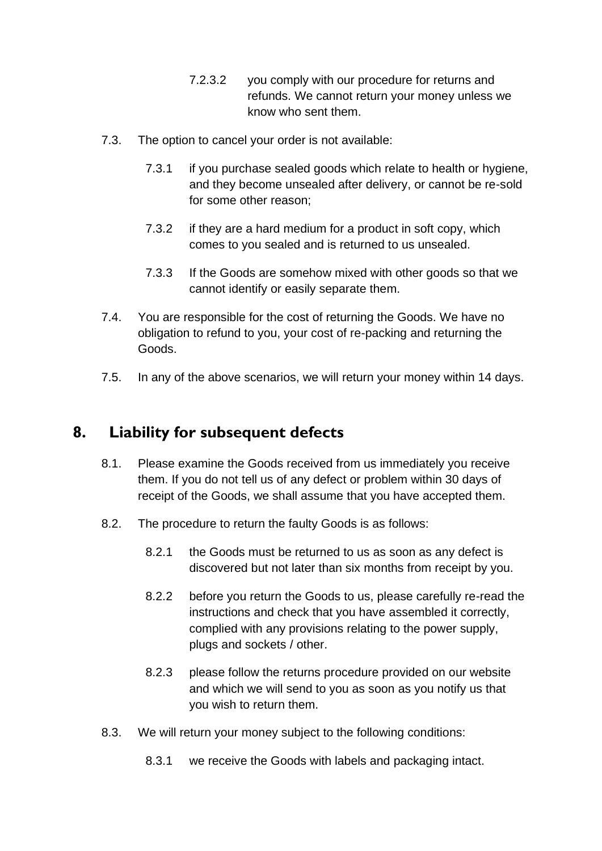- 7.2.3.2 you comply with our procedure for returns and refunds. We cannot return your money unless we know who sent them.
- 7.3. The option to cancel your order is not available:
	- 7.3.1 if you purchase sealed goods which relate to health or hygiene, and they become unsealed after delivery, or cannot be re-sold for some other reason;
	- 7.3.2 if they are a hard medium for a product in soft copy, which comes to you sealed and is returned to us unsealed.
	- 7.3.3 If the Goods are somehow mixed with other goods so that we cannot identify or easily separate them.
- 7.4. You are responsible for the cost of returning the Goods. We have no obligation to refund to you, your cost of re-packing and returning the Goods.
- 7.5. In any of the above scenarios, we will return your money within 14 days.

#### **8. Liability for subsequent defects**

- 8.1. Please examine the Goods received from us immediately you receive them. If you do not tell us of any defect or problem within 30 days of receipt of the Goods, we shall assume that you have accepted them.
- 8.2. The procedure to return the faulty Goods is as follows:
	- 8.2.1 the Goods must be returned to us as soon as any defect is discovered but not later than six months from receipt by you.
	- 8.2.2 before you return the Goods to us, please carefully re-read the instructions and check that you have assembled it correctly, complied with any provisions relating to the power supply, plugs and sockets / other.
	- 8.2.3 please follow the returns procedure provided on our website and which we will send to you as soon as you notify us that you wish to return them.
- 8.3. We will return your money subject to the following conditions:
	- 8.3.1 we receive the Goods with labels and packaging intact.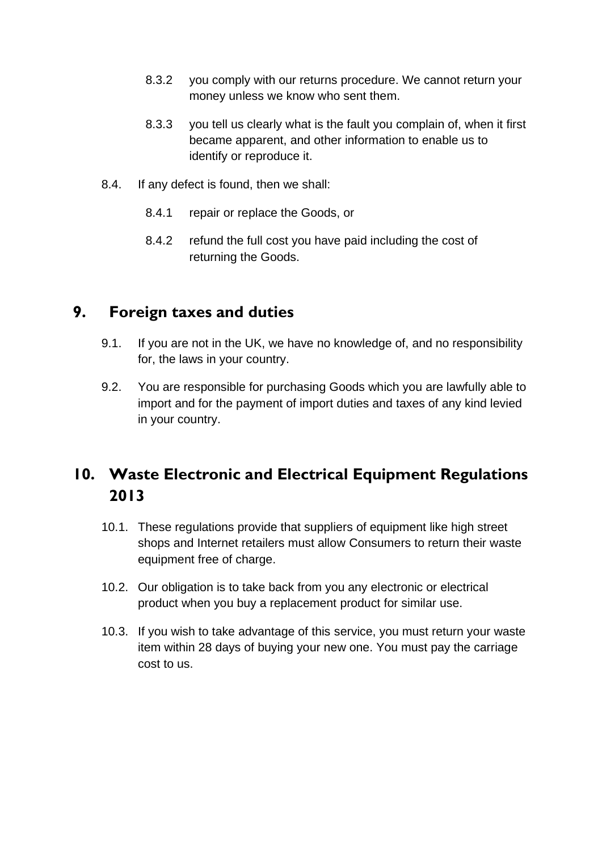- 8.3.2 you comply with our returns procedure. We cannot return your money unless we know who sent them.
- 8.3.3 you tell us clearly what is the fault you complain of, when it first became apparent, and other information to enable us to identify or reproduce it.
- 8.4. If any defect is found, then we shall:
	- 8.4.1 repair or replace the Goods, or
	- 8.4.2 refund the full cost you have paid including the cost of returning the Goods.

#### **9. Foreign taxes and duties**

- 9.1. If you are not in the UK, we have no knowledge of, and no responsibility for, the laws in your country.
- 9.2. You are responsible for purchasing Goods which you are lawfully able to import and for the payment of import duties and taxes of any kind levied in your country.

# **10. Waste Electronic and Electrical Equipment Regulations 2013**

- 10.1. These regulations provide that suppliers of equipment like high street shops and Internet retailers must allow Consumers to return their waste equipment free of charge.
- 10.2. Our obligation is to take back from you any electronic or electrical product when you buy a replacement product for similar use.
- 10.3. If you wish to take advantage of this service, you must return your waste item within 28 days of buying your new one. You must pay the carriage cost to us.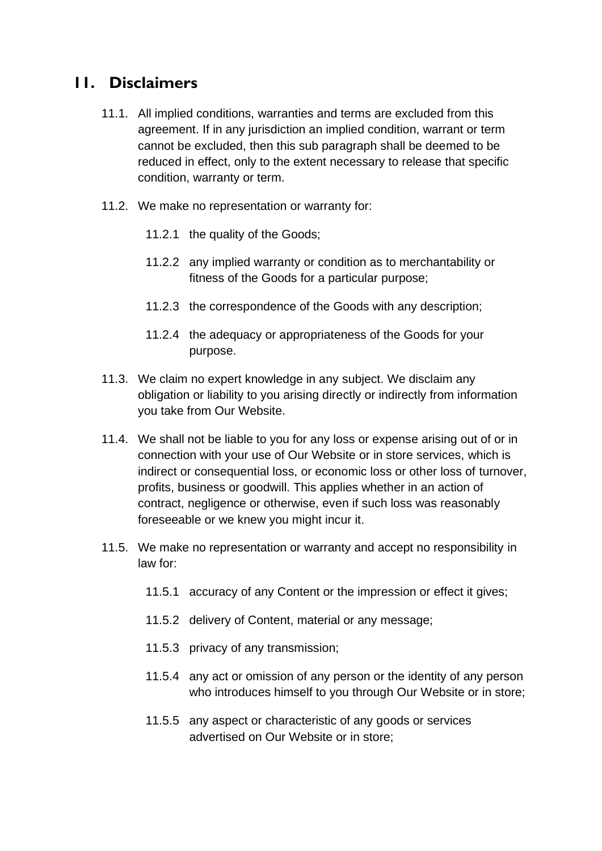#### **11. Disclaimers**

- 11.1. All implied conditions, warranties and terms are excluded from this agreement. If in any jurisdiction an implied condition, warrant or term cannot be excluded, then this sub paragraph shall be deemed to be reduced in effect, only to the extent necessary to release that specific condition, warranty or term.
- 11.2. We make no representation or warranty for:
	- 11.2.1 the quality of the Goods;
	- 11.2.2 any implied warranty or condition as to merchantability or fitness of the Goods for a particular purpose;
	- 11.2.3 the correspondence of the Goods with any description;
	- 11.2.4 the adequacy or appropriateness of the Goods for your purpose.
- 11.3. We claim no expert knowledge in any subject. We disclaim any obligation or liability to you arising directly or indirectly from information you take from Our Website.
- 11.4. We shall not be liable to you for any loss or expense arising out of or in connection with your use of Our Website or in store services, which is indirect or consequential loss, or economic loss or other loss of turnover, profits, business or goodwill. This applies whether in an action of contract, negligence or otherwise, even if such loss was reasonably foreseeable or we knew you might incur it.
- 11.5. We make no representation or warranty and accept no responsibility in law for:
	- 11.5.1 accuracy of any Content or the impression or effect it gives;
	- 11.5.2 delivery of Content, material or any message;
	- 11.5.3 privacy of any transmission;
	- 11.5.4 any act or omission of any person or the identity of any person who introduces himself to you through Our Website or in store;
	- 11.5.5 any aspect or characteristic of any goods or services advertised on Our Website or in store;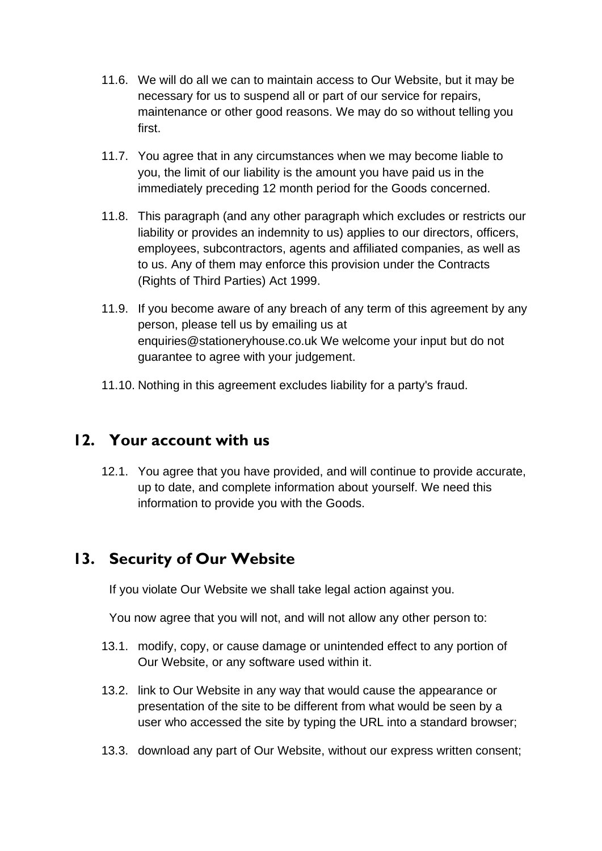- 11.6. We will do all we can to maintain access to Our Website, but it may be necessary for us to suspend all or part of our service for repairs, maintenance or other good reasons. We may do so without telling you first.
- 11.7. You agree that in any circumstances when we may become liable to you, the limit of our liability is the amount you have paid us in the immediately preceding 12 month period for the Goods concerned.
- 11.8. This paragraph (and any other paragraph which excludes or restricts our liability or provides an indemnity to us) applies to our directors, officers, employees, subcontractors, agents and affiliated companies, as well as to us. Any of them may enforce this provision under the Contracts (Rights of Third Parties) Act 1999.
- 11.9. If you become aware of any breach of any term of this agreement by any person, please tell us by emailing us at enquiries@stationeryhouse.co.uk We welcome your input but do not guarantee to agree with your judgement.
- 11.10. Nothing in this agreement excludes liability for a party's fraud.

#### **12. Your account with us**

12.1. You agree that you have provided, and will continue to provide accurate, up to date, and complete information about yourself. We need this information to provide you with the Goods.

## **13. Security of Our Website**

If you violate Our Website we shall take legal action against you.

You now agree that you will not, and will not allow any other person to:

- 13.1. modify, copy, or cause damage or unintended effect to any portion of Our Website, or any software used within it.
- 13.2. link to Our Website in any way that would cause the appearance or presentation of the site to be different from what would be seen by a user who accessed the site by typing the URL into a standard browser;
- 13.3. download any part of Our Website, without our express written consent;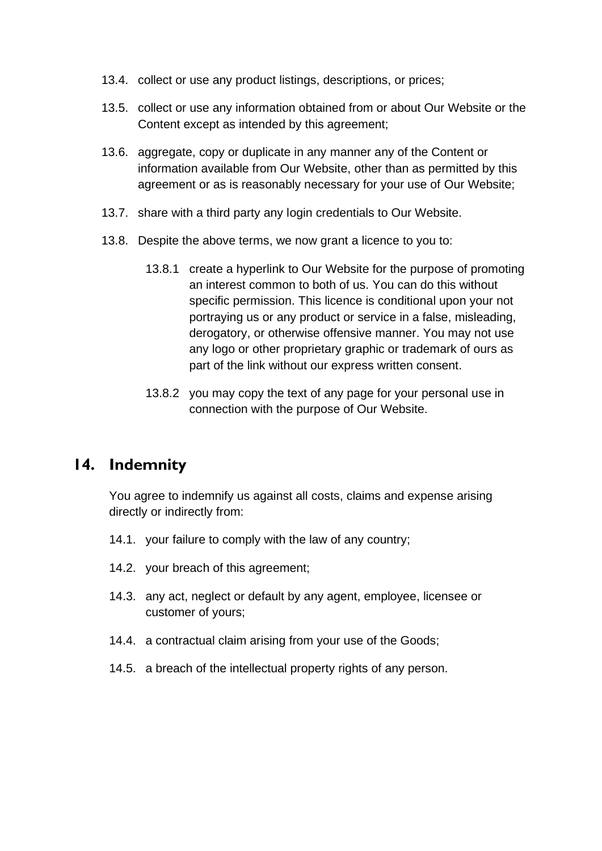- 13.4. collect or use any product listings, descriptions, or prices;
- 13.5. collect or use any information obtained from or about Our Website or the Content except as intended by this agreement;
- 13.6. aggregate, copy or duplicate in any manner any of the Content or information available from Our Website, other than as permitted by this agreement or as is reasonably necessary for your use of Our Website;
- 13.7. share with a third party any login credentials to Our Website.
- 13.8. Despite the above terms, we now grant a licence to you to:
	- 13.8.1 create a hyperlink to Our Website for the purpose of promoting an interest common to both of us. You can do this without specific permission. This licence is conditional upon your not portraying us or any product or service in a false, misleading, derogatory, or otherwise offensive manner. You may not use any logo or other proprietary graphic or trademark of ours as part of the link without our express written consent.
	- 13.8.2 you may copy the text of any page for your personal use in connection with the purpose of Our Website.

#### **14. Indemnity**

You agree to indemnify us against all costs, claims and expense arising directly or indirectly from:

- 14.1. your failure to comply with the law of any country;
- 14.2. your breach of this agreement;
- 14.3. any act, neglect or default by any agent, employee, licensee or customer of yours;
- 14.4. a contractual claim arising from your use of the Goods;
- 14.5. a breach of the intellectual property rights of any person.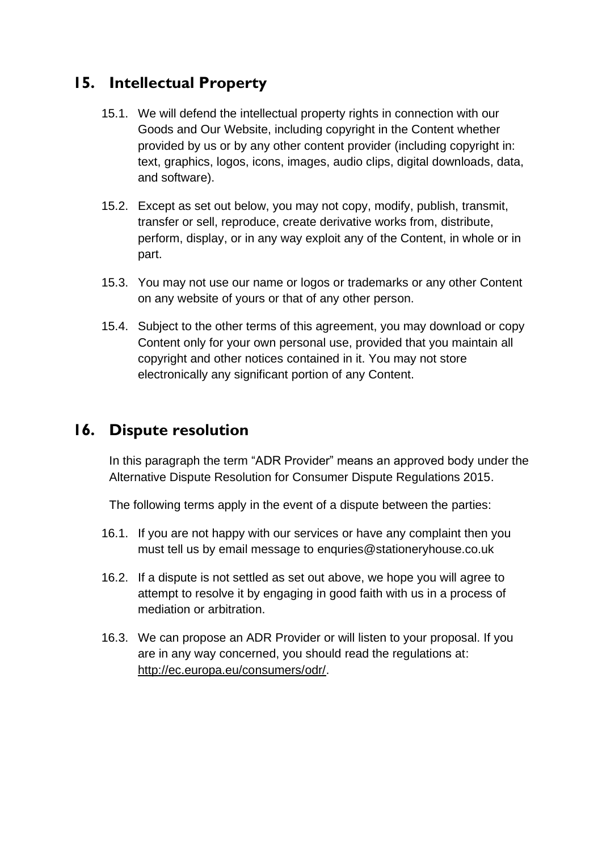## **15. Intellectual Property**

- 15.1. We will defend the intellectual property rights in connection with our Goods and Our Website, including copyright in the Content whether provided by us or by any other content provider (including copyright in: text, graphics, logos, icons, images, audio clips, digital downloads, data, and software).
- 15.2. Except as set out below, you may not copy, modify, publish, transmit, transfer or sell, reproduce, create derivative works from, distribute, perform, display, or in any way exploit any of the Content, in whole or in part.
- 15.3. You may not use our name or logos or trademarks or any other Content on any website of yours or that of any other person.
- 15.4. Subject to the other terms of this agreement, you may download or copy Content only for your own personal use, provided that you maintain all copyright and other notices contained in it. You may not store electronically any significant portion of any Content.

#### **16. Dispute resolution**

In this paragraph the term "ADR Provider" means an approved body under the Alternative Dispute Resolution for Consumer Dispute Regulations 2015.

The following terms apply in the event of a dispute between the parties:

- 16.1. If you are not happy with our services or have any complaint then you must tell us by email message to enquries@stationeryhouse.co.uk
- 16.2. If a dispute is not settled as set out above, we hope you will agree to attempt to resolve it by engaging in good faith with us in a process of mediation or arbitration.
- 16.3. We can propose an ADR Provider or will listen to your proposal. If you are in any way concerned, you should read the regulations at: [http://ec.europa.eu/consumers/odr/.](http://ec.europa.eu/consumers/odr/)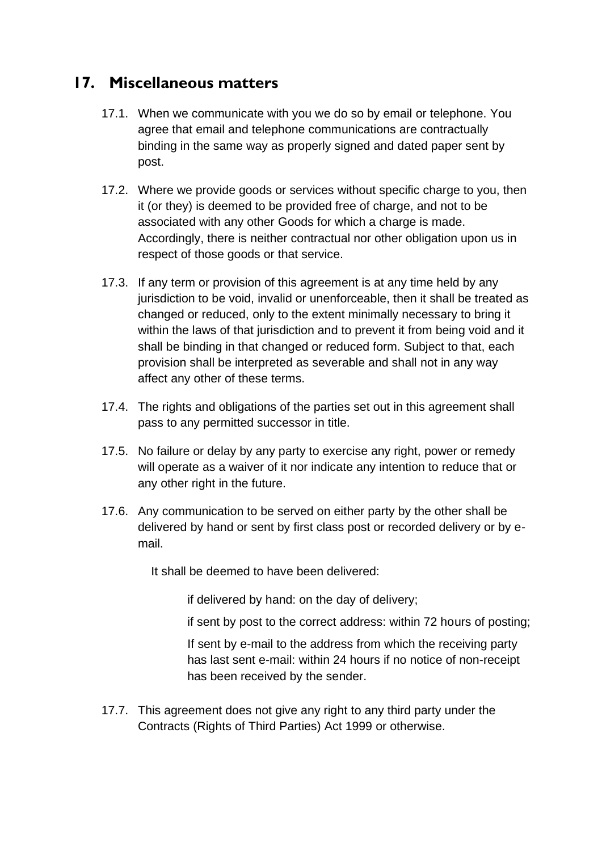#### **17. Miscellaneous matters**

- 17.1. When we communicate with you we do so by email or telephone. You agree that email and telephone communications are contractually binding in the same way as properly signed and dated paper sent by post.
- 17.2. Where we provide goods or services without specific charge to you, then it (or they) is deemed to be provided free of charge, and not to be associated with any other Goods for which a charge is made. Accordingly, there is neither contractual nor other obligation upon us in respect of those goods or that service.
- 17.3. If any term or provision of this agreement is at any time held by any jurisdiction to be void, invalid or unenforceable, then it shall be treated as changed or reduced, only to the extent minimally necessary to bring it within the laws of that jurisdiction and to prevent it from being void and it shall be binding in that changed or reduced form. Subject to that, each provision shall be interpreted as severable and shall not in any way affect any other of these terms.
- 17.4. The rights and obligations of the parties set out in this agreement shall pass to any permitted successor in title.
- 17.5. No failure or delay by any party to exercise any right, power or remedy will operate as a waiver of it nor indicate any intention to reduce that or any other right in the future.
- 17.6. Any communication to be served on either party by the other shall be delivered by hand or sent by first class post or recorded delivery or by email.

It shall be deemed to have been delivered:

if delivered by hand: on the day of delivery;

if sent by post to the correct address: within 72 hours of posting;

If sent by e-mail to the address from which the receiving party has last sent e-mail: within 24 hours if no notice of non-receipt has been received by the sender.

17.7. This agreement does not give any right to any third party under the Contracts (Rights of Third Parties) Act 1999 or otherwise.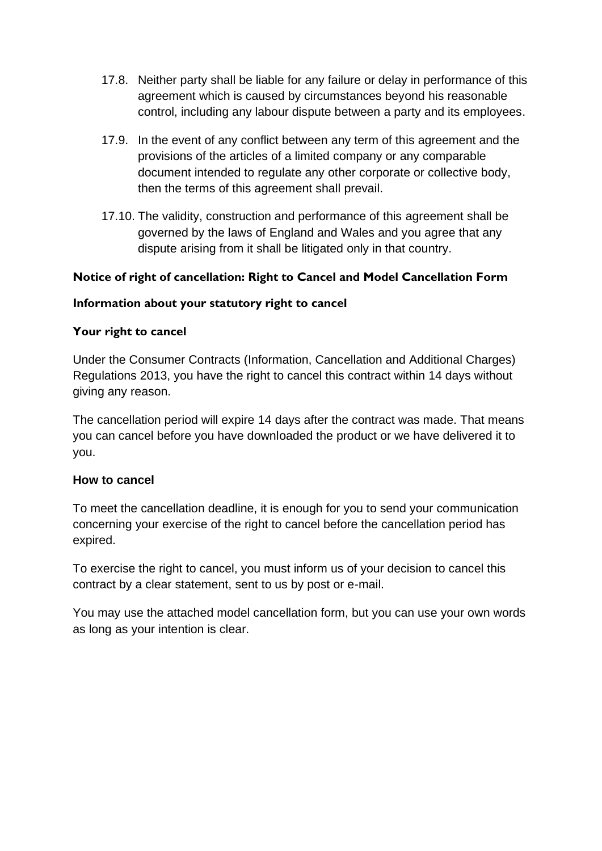- 17.8. Neither party shall be liable for any failure or delay in performance of this agreement which is caused by circumstances beyond his reasonable control, including any labour dispute between a party and its employees.
- 17.9. In the event of any conflict between any term of this agreement and the provisions of the articles of a limited company or any comparable document intended to regulate any other corporate or collective body, then the terms of this agreement shall prevail.
- 17.10. The validity, construction and performance of this agreement shall be governed by the laws of England and Wales and you agree that any dispute arising from it shall be litigated only in that country.

#### **Notice of right of cancellation: Right to Cancel and Model Cancellation Form**

#### **Information about your statutory right to cancel**

#### **Your right to cancel**

Under the Consumer Contracts (Information, Cancellation and Additional Charges) Regulations 2013, you have the right to cancel this contract within 14 days without giving any reason.

The cancellation period will expire 14 days after the contract was made. That means you can cancel before you have downloaded the product or we have delivered it to you.

#### **How to cancel**

To meet the cancellation deadline, it is enough for you to send your communication concerning your exercise of the right to cancel before the cancellation period has expired.

To exercise the right to cancel, you must inform us of your decision to cancel this contract by a clear statement, sent to us by post or e-mail.

You may use the attached model cancellation form, but you can use your own words as long as your intention is clear.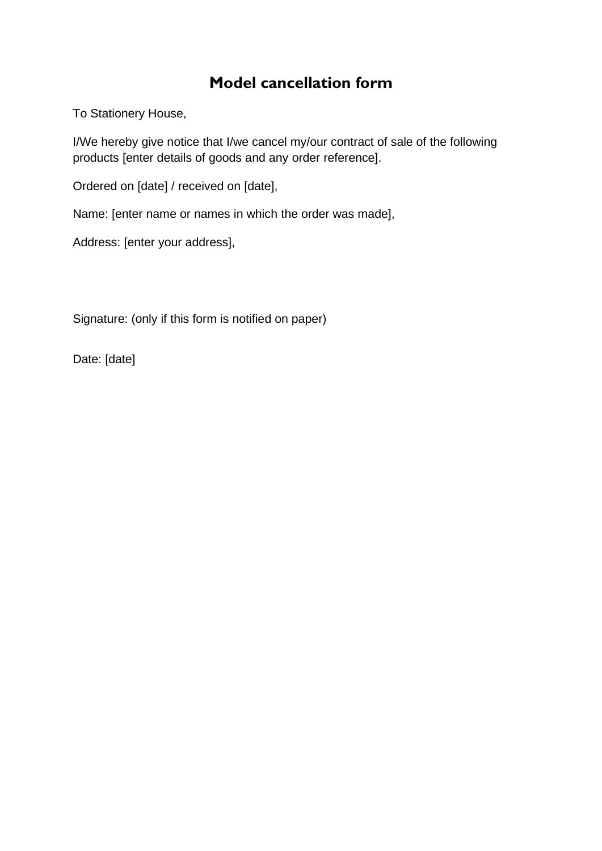## **Model cancellation form**

To Stationery House,

I/We hereby give notice that I/we cancel my/our contract of sale of the following products [enter details of goods and any order reference].

Ordered on [date] / received on [date],

Name: [enter name or names in which the order was made],

Address: [enter your address],

Signature: (only if this form is notified on paper)

Date: [date]